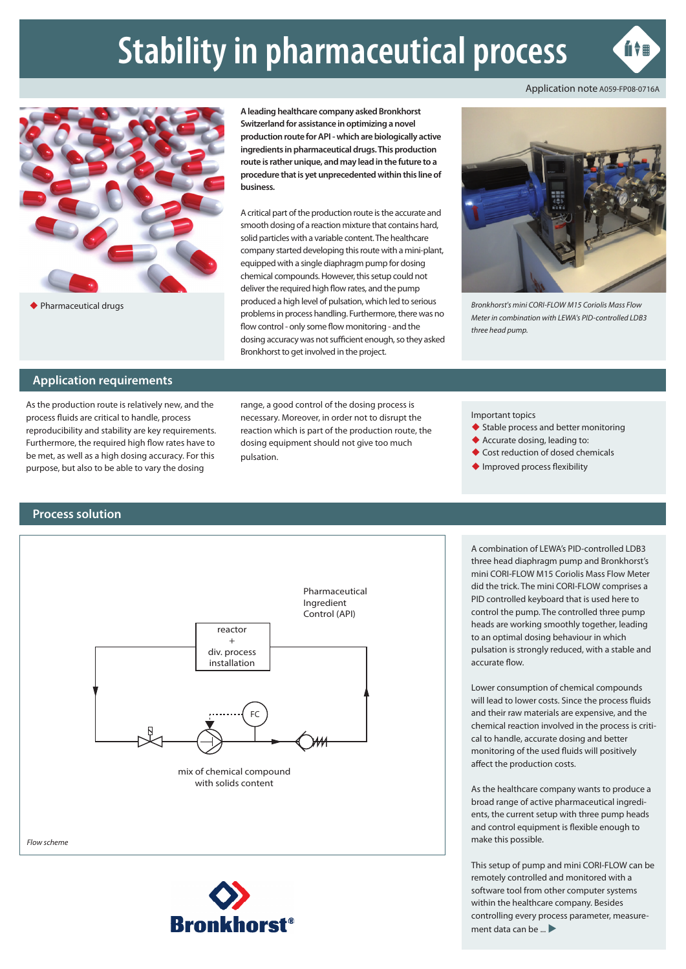# **Stability in pharmaceutical process**



û (mari



Pharmaceutical drugs

**A leading healthcare company asked Bronkhorst Switzerland for assistance in optimizing a novel production route for API - which are biologically active ingredients in pharmaceutical drugs. This production route is rather unique, and may lead in the future to a procedure that is yet unprecedented within this line of business.**

A critical part of the production route is the accurate and smooth dosing of a reaction mixture that contains hard, solid particles with a variable content. The healthcare company started developing this route with a mini-plant, equipped with a single diaphragm pump for dosing chemical compounds. However, this setup could not deliver the required high flow rates, and the pump produced a high level of pulsation, which led to serious problems in process handling. Furthermore, there was no flow control - only some flow monitoring - and the dosing accuracy was not sufficient enough, so they asked Bronkhorst to get involved in the project.



*Bronkhorst's mini CORI-FLOW M15 Coriolis Mass Flow Meter in combination with LEWA's PID-controlled LDB3 three head pump.*

## **Application requirements**

As the production route is relatively new, and the process fluids are critical to handle, process reproducibility and stability are key requirements. Furthermore, the required high flow rates have to be met, as well as a high dosing accuracy. For this purpose, but also to be able to vary the dosing

range, a good control of the dosing process is necessary. Moreover, in order not to disrupt the reaction which is part of the production route, the dosing equipment should not give too much pulsation.

Important topics

- ◆ Stable process and better monitoring
- Accurate dosing, leading to:
- ◆ Cost reduction of dosed chemicals
- ◆ Improved process flexibility

## **Process solution**





A combination of LEWA's PID-controlled LDB3 three head diaphragm pump and Bronkhorst's mini CORI-FLOW M15 Coriolis Mass Flow Meter did the trick. The mini CORI-FLOW comprises a PID controlled keyboard that is used here to control the pump. The controlled three pump heads are working smoothly together, leading to an optimal dosing behaviour in which pulsation is strongly reduced, with a stable and accurate flow.

Lower consumption of chemical compounds will lead to lower costs. Since the process fluids and their raw materials are expensive, and the chemical reaction involved in the process is critical to handle, accurate dosing and better monitoring of the used fluids will positively affect the production costs.

As the healthcare company wants to produce a broad range of active pharmaceutical ingredients, the current setup with three pump heads and control equipment is flexible enough to make this possible.

This setup of pump and mini CORI-FLOW can be remotely controlled and monitored with a software tool from other computer systems within the healthcare company. Besides controlling every process parameter, measurement data can be  $\ldots$